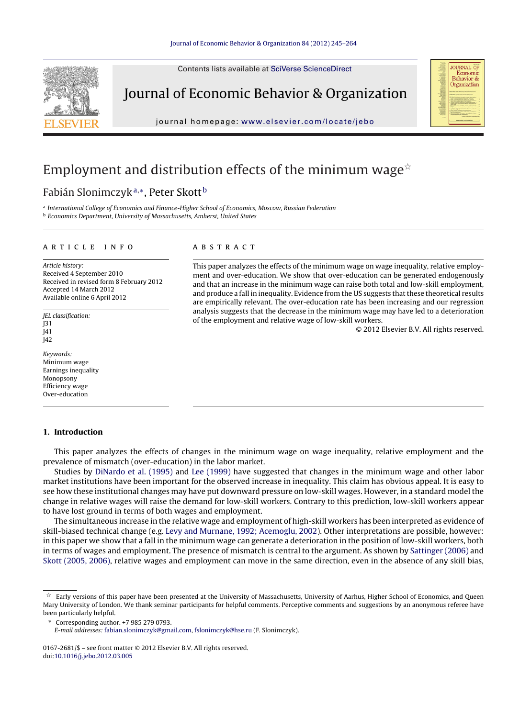Contents lists available at SciVerse [ScienceDirect](http://www.sciencedirect.com/science/journal/01672681)



Journal of Economic Behavior & Organization

journal homepage: [www.elsevier.com/locate/jebo](http://www.elsevier.com/locate/jebo)



## Employment and distribution effects of the minimum wage $^{\star}$

### Fabián Slonimczyk<sup>a</sup>,∗, Peter Skott <sup>b</sup>

a International College of Economics and Finance-Higher School of Economics, Moscow, Russian Federation **b** Economics Department, University of Massachusetts, Amherst, United States

#### a r t i c l e i n f o

Article history: Received 4 September 2010 Received in revised form 8 February 2012 Accepted 14 March 2012 Available online 6 April 2012

JEL classification: J31 J41 J42

Keywords: Minimum wage Earnings inequality Monopsony Efficiency wage Over-education

#### **1. Introduction**

#### a b s t r a c t

This paper analyzes the effects of the minimum wage on wage inequality, relative employment and over-education. We show that over-education can be generated endogenously and that an increase in the minimum wage can raise both total and low-skill employment, and produce a fall in inequality. Evidence from the US suggests that these theoretical results are empirically relevant. The over-education rate has been increasing and our regression analysis suggests that the decrease in the minimum wage may have led to a deterioration of the employment and relative wage of low-skill workers.

© 2012 Elsevier B.V. All rights reserved.

This paper analyzes the effects of changes in the minimum wage on wage inequality, relative employment and the prevalence of mismatch (over-education) in the labor market.

Studies by [DiNardo](#page--1-0) et [al.](#page--1-0) [\(1995\)](#page--1-0) and [Lee](#page--1-0) [\(1999\)](#page--1-0) have suggested that changes in the minimum wage and other labor market institutions have been important for the observed increase in inequality. This claim has obvious appeal. It is easy to see how these institutional changes may have put downward pressure on low-skill wages. However, in a standard model the change in relative wages will raise the demand for low-skill workers. Contrary to this prediction, low-skill workers appear to have lost ground in terms of both wages and employment.

The simultaneous increase in the relative wage and employment of high-skill workers has been interpreted as evidence of skill-biased technical change (e.g. [Levy](#page--1-0) [and](#page--1-0) [Murnane,](#page--1-0) [1992;](#page--1-0) [Acemoglu,](#page--1-0) [2002\).](#page--1-0) Other interpretations are possible, however: in this paper we show that a fall in the minimum wage can generate a deterioration in the position of low-skill workers, both in terms of wages and employment. The presence of mismatch is central to the argument. As shown by [Sattinger](#page--1-0) [\(2006\)](#page--1-0) and [Skott](#page--1-0) [\(2005,](#page--1-0) [2006\),](#page--1-0) relative wages and employment can move in the same direction, even in the absence of any skill bias,

 $\hat{\star}\;$  Early versions of this paper have been presented at the University of Massachusetts, University of Aarhus, Higher School of Economics, and Queen Mary University of London. We thank seminar participants for helpful comments. Perceptive comments and suggestions by an anonymous referee have been particularly helpful.

<sup>∗</sup> Corresponding author. +7 985 279 0793.

E-mail addresses: [fabian.slonimczyk@gmail.com](mailto:fabian.slonimczyk@gmail.com), [fslonimczyk@hse.ru](mailto:fslonimczyk@hse.ru) (F. Slonimczyk).

<sup>0167-2681/\$</sup> – see front matter © 2012 Elsevier B.V. All rights reserved. doi:[10.1016/j.jebo.2012.03.005](dx.doi.org/10.1016/j.jebo.2012.03.005)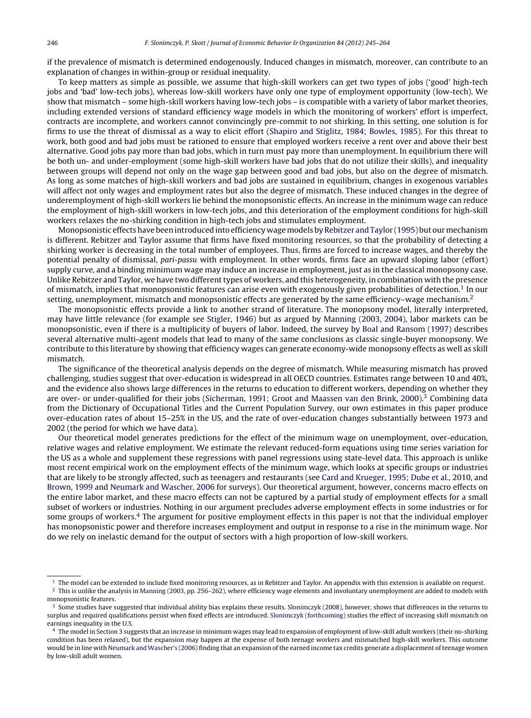if the prevalence of mismatch is determined endogenously. Induced changes in mismatch, moreover, can contribute to an explanation of changes in within-group or residual inequality.

To keep matters as simple as possible, we assume that high-skill workers can get two types of jobs ('good' high-tech jobs and 'bad' low-tech jobs), whereas low-skill workers have only one type of employment opportunity (low-tech). We show that mismatch – some high-skill workers having low-tech jobs – is compatible with a variety of labor market theories, including extended versions of standard efficiency wage models in which the monitoring of workers' effort is imperfect, contracts are incomplete, and workers cannot convincingly pre-commit to not shirking. In this setting, one solution is for firms to use the threat of dismissal as a way to elicit effort ([Shapiro](#page--1-0) [and](#page--1-0) [Stiglitz,](#page--1-0) [1984;](#page--1-0) [Bowles,](#page--1-0) [1985\).](#page--1-0) For this threat to work, both good and bad jobs must be rationed to ensure that employed workers receive a rent over and above their best alternative. Good jobs pay more than bad jobs, which in turn must pay more than unemployment. In equilibrium there will be both un- and under-employment (some high-skill workers have bad jobs that do not utilize their skills), and inequality between groups will depend not only on the wage gap between good and bad jobs, but also on the degree of mismatch. As long as some matches of high-skill workers and bad jobs are sustained in equilibrium, changes in exogenous variables will affect not only wages and employment rates but also the degree of mismatch. These induced changes in the degree of underemployment of high-skill workers lie behind the monopsonistic effects. An increase in the minimum wage can reduce the employment of high-skill workers in low-tech jobs, and this deterioration of the employment conditions for high-skill workers relaxes the no-shirking condition in high-tech jobs and stimulates employment.

Monopsonistic effects have been introduced into efficiency wage models by [Rebitzer](#page--1-0) and Taylor [\(1995\)](#page--1-0) but our mechanism is different. Rebitzer and Taylor assume that firms have fixed monitoring resources, so that the probability of detecting a shirking worker is decreasing in the total number of employees. Thus, firms are forced to increase wages, and thereby the potential penalty of dismissal, pari-passu with employment. In other words, firms face an upward sloping labor (effort) supply curve, and a binding minimum wage may induce an increase in employment, just as in the classical monopsony case. Unlike Rebitzer and Taylor, we have two different types of workers, and this heterogeneity, in combination with the presence of mismatch, implies that monopsonistic features can arise even with exogenously given probabilities of detection.1 In our setting, unemployment, mismatch and monopsonistic effects are generated by the same efficiency–wage mechanism.<sup>2</sup>

The monopsonistic effects provide a link to another strand of literature. The monopsony model, literally interpreted, may have little relevance (for example see [Stigler,](#page--1-0) [1946\)](#page--1-0) but as argued by [Manning](#page--1-0) [\(2003,](#page--1-0) [2004\),](#page--1-0) labor markets can be monopsonistic, even if there is a multiplicity of buyers of labor. Indeed, the survey by [Boal](#page--1-0) [and](#page--1-0) [Ransom](#page--1-0) [\(1997\)](#page--1-0) describes several alternative multi-agent models that lead to many of the same conclusions as classic single-buyer monopsony. We contribute to this literature by showing that efficiency wages can generate economy-wide monopsony effects as well as skill mismatch.

The significance of the theoretical analysis depends on the degree of mismatch. While measuring mismatch has proved challenging, studies suggest that over-education is widespread in all OECD countries. Estimates range between 10 and 40%, and the evidence also shows large differences in the returns to education to different workers, depending on whether they are over- or under-qualified for their jobs ([Sicherman,](#page--1-0) [1991;](#page--1-0) [Groot](#page--1-0) [and](#page--1-0) [Maassen](#page--1-0) [van](#page--1-0) [den](#page--1-0) [Brink,](#page--1-0) 2000).<sup>3</sup> Combining data from the Dictionary of Occupational Titles and the Current Population Survey, our own estimates in this paper produce over-education rates of about 15–25% in the US, and the rate of over-education changes substantially between 1973 and 2002 (the period for which we have data).

Our theoretical model generates predictions for the effect of the minimum wage on unemployment, over-education, relative wages and relative employment. We estimate the relevant reduced-form equations using time series variation for the US as a whole and supplement these regressions with panel regressions using state-level data. This approach is unlike most recent empirical work on the employment effects of the minimum wage, which looks at specific groups or industries that are likely to be strongly affected, such as teenagers and restaurants (see [Card](#page--1-0) [and](#page--1-0) [Krueger,](#page--1-0) [1995;](#page--1-0) [Dube](#page--1-0) et [al.,](#page--1-0) [2010,](#page--1-0) and [Brown,](#page--1-0) [1999](#page--1-0) and [Neumark](#page--1-0) [and](#page--1-0) [Wascher,](#page--1-0) [2006](#page--1-0) for surveys). Our theoretical argument, however, concerns macro effects on the entire labor market, and these macro effects can not be captured by a partial study of employment effects for a small subset of workers or industries. Nothing in our argument precludes adverse employment effects in some industries or for some groups of workers.4 The argument for positive employment effects in this paper is not that the individual employer has monopsonistic power and therefore increases employment and output in response to a rise in the minimum wage. Nor do we rely on inelastic demand for the output of sectors with a high proportion of low-skill workers.

 $<sup>1</sup>$  The model can be extended to include fixed monitoring resources, as in Rebitzer and Taylor. An appendix with this extension is available on request.</sup>

 $2$  This is unlike the analysis in [Manning](#page--1-0) [\(2003,](#page--1-0) [pp.](#page--1-0) 256-262), where efficiency wage elements and involuntary unemployment are added to models with monopsonistic features.

 $3$  Some studies have suggested that individual ability bias explains these results. [Slonimczyk](#page--1-0) [\(2008\),](#page--1-0) however, shows that differences in the returns to surplus and required qualifications persist when fixed effects are introduced. [Slonimczyk](#page--1-0) [\(forthcoming\)](#page--1-0) studies the effect of increasing skill mismatch on earnings inequality in the U.S.

<sup>4</sup> The model in [Section](#page--1-0) [3](#page--1-0) suggests that an increase in minimum wages may lead to expansion of employment of low-skill adult workers (their no-shirking condition has been relaxed), but the expansion may happen at the expense of both teenage workers and mismatched high-skill workers. This outcome would be in line with [Neumark](#page--1-0) [and](#page--1-0) [Wascher's](#page--1-0) [\(2006\)](#page--1-0) finding that an expansion ofthe earned income tax credits generate a displacement ofteenage women by low-skill adult women.